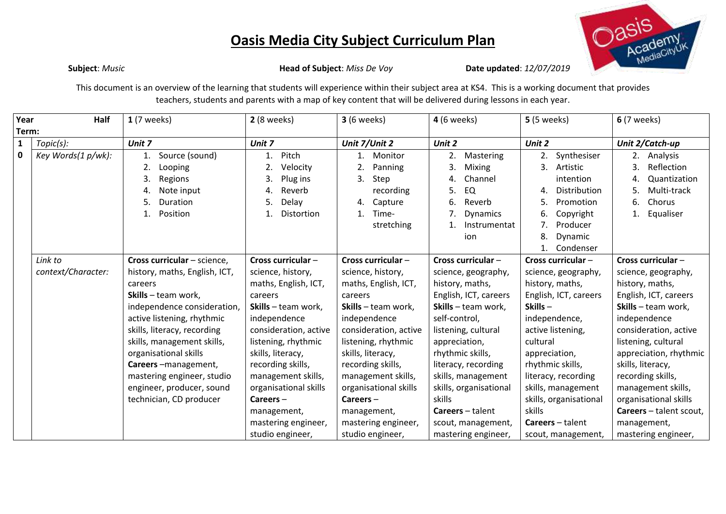## **Oasis Media City Subject Curriculum Plan**



**Subject**: *Music* **Head of Subject**: *Miss De Voy* **Date updated**: *12/07/2019*

This document is an overview of the learning that students will experience within their subject area at KS4. This is a working document that provides teachers, students and parents with a map of key content that will be delivered during lessons in each year.

| Year         | Half               | $1(7$ weeks)                                                                                       | <b>2</b> (8 weeks)                                                                     | <b>3</b> (6 weeks)                                                                                      | <b>4</b> (6 weeks)                                                                                                            | <b>5</b> (5 weeks)                                                                                                                              | <b>6</b> (7 weeks)                                                                                         |
|--------------|--------------------|----------------------------------------------------------------------------------------------------|----------------------------------------------------------------------------------------|---------------------------------------------------------------------------------------------------------|-------------------------------------------------------------------------------------------------------------------------------|-------------------------------------------------------------------------------------------------------------------------------------------------|------------------------------------------------------------------------------------------------------------|
| Term:        |                    |                                                                                                    |                                                                                        |                                                                                                         |                                                                                                                               |                                                                                                                                                 |                                                                                                            |
| $\mathbf{1}$ | Topic(s):          | Unit 7                                                                                             | Unit 7                                                                                 | Unit 7/Unit 2                                                                                           | Unit 2                                                                                                                        | Unit 2                                                                                                                                          | Unit 2/Catch-up                                                                                            |
| $\mathbf 0$  | Key Words(1 p/wk): | Source (sound)<br>1.<br>Looping<br>3.<br>Regions<br>Note input<br>Duration<br>5.<br>Position<br>1. | Pitch<br>1.<br>Velocity<br>3.<br>Plug ins<br>Reverb<br>4.<br>Delay<br>5.<br>Distortion | Monitor<br>1.<br>2.<br>Panning<br>3.<br>Step<br>recording<br>Capture<br>4.<br>Time-<br>1.<br>stretching | 2.<br>Mastering<br>3.<br><b>Mixing</b><br>Channel<br>4.<br>EQ<br>5.<br>Reverb<br>6.<br><b>Dynamics</b><br>Instrumentat<br>ion | Synthesiser<br>2.<br>3.<br>Artistic<br>intention<br>Distribution<br>4.<br>Promotion<br>5.<br>6.<br>Copyright<br>Producer<br>7.<br>8.<br>Dynamic | Analysis<br>2.<br>Reflection<br>3.<br>Quantization<br>4.<br>Multi-track<br>5.<br>Chorus<br>6.<br>Equaliser |
|              | Link to            | Cross curricular - science,                                                                        | Cross curricular-                                                                      | Cross curricular -                                                                                      | Cross curricular-                                                                                                             | Condenser<br>1.<br>Cross curricular -                                                                                                           | Cross curricular -                                                                                         |
|              | context/Character: | history, maths, English, ICT,                                                                      | science, history,                                                                      | science, history,                                                                                       | science, geography,                                                                                                           | science, geography,                                                                                                                             | science, geography,                                                                                        |
|              |                    | careers                                                                                            | maths, English, ICT,                                                                   | maths, English, ICT,                                                                                    | history, maths,                                                                                                               | history, maths,                                                                                                                                 | history, maths,                                                                                            |
|              |                    | Skills - team work,                                                                                | careers                                                                                | careers                                                                                                 | English, ICT, careers                                                                                                         | English, ICT, careers                                                                                                                           | English, ICT, careers                                                                                      |
|              |                    | independence consideration,                                                                        | Skills - team work,                                                                    | Skills - team work,                                                                                     | Skills - team work,                                                                                                           | Skills-                                                                                                                                         | Skills - team work,                                                                                        |
|              |                    | active listening, rhythmic                                                                         | independence                                                                           | independence                                                                                            | self-control,                                                                                                                 | independence,                                                                                                                                   | independence                                                                                               |
|              |                    | skills, literacy, recording                                                                        | consideration, active                                                                  | consideration, active                                                                                   | listening, cultural                                                                                                           | active listening,                                                                                                                               | consideration, active                                                                                      |
|              |                    | skills, management skills,                                                                         | listening, rhythmic                                                                    | listening, rhythmic                                                                                     | appreciation,                                                                                                                 | cultural                                                                                                                                        | listening, cultural                                                                                        |
|              |                    | organisational skills                                                                              | skills, literacy,                                                                      | skills, literacy,                                                                                       | rhythmic skills,                                                                                                              | appreciation,                                                                                                                                   | appreciation, rhythmic                                                                                     |
|              |                    | Careers-management,                                                                                | recording skills,                                                                      | recording skills,                                                                                       | literacy, recording                                                                                                           | rhythmic skills,                                                                                                                                | skills, literacy,                                                                                          |
|              |                    | mastering engineer, studio                                                                         | management skills,                                                                     | management skills,                                                                                      | skills, management                                                                                                            | literacy, recording                                                                                                                             | recording skills,                                                                                          |
|              |                    | engineer, producer, sound                                                                          | organisational skills                                                                  | organisational skills                                                                                   | skills, organisational                                                                                                        | skills, management                                                                                                                              | management skills,                                                                                         |
|              |                    | technician, CD producer                                                                            | $Careers -$                                                                            | $Careers -$                                                                                             | skills                                                                                                                        | skills, organisational                                                                                                                          | organisational skills                                                                                      |
|              |                    |                                                                                                    | management,                                                                            | management,                                                                                             | <b>Careers</b> – talent                                                                                                       | skills                                                                                                                                          | Careers - talent scout,                                                                                    |
|              |                    |                                                                                                    | mastering engineer,                                                                    | mastering engineer,                                                                                     | scout, management,                                                                                                            | <b>Careers</b> – talent                                                                                                                         | management,                                                                                                |
|              |                    |                                                                                                    | studio engineer,                                                                       | studio engineer,                                                                                        | mastering engineer,                                                                                                           | scout, management,                                                                                                                              | mastering engineer,                                                                                        |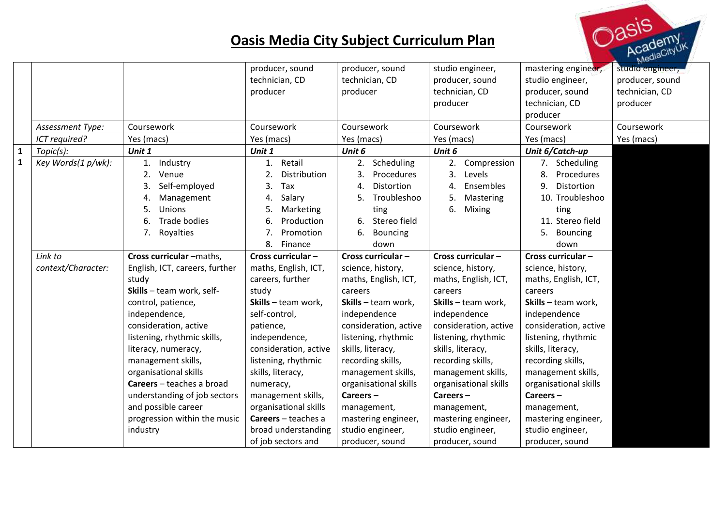## **Oasis Media City Subject Curriculum Plan**



|              |                    |                                | producer, sound                  | producer, sound       | studio engineer,      | mastering engineer,   | studio engineer, |
|--------------|--------------------|--------------------------------|----------------------------------|-----------------------|-----------------------|-----------------------|------------------|
|              |                    |                                | technician, CD                   | technician, CD        | producer, sound       | studio engineer,      | producer, sound  |
|              |                    |                                | producer                         | producer              | technician, CD        | producer, sound       | technician, CD   |
|              |                    |                                |                                  |                       | producer              | technician, CD        | producer         |
|              |                    |                                |                                  |                       |                       | producer              |                  |
|              | Assessment Type:   | Coursework                     | Coursework                       | Coursework            | Coursework            | Coursework            | Coursework       |
|              | ICT required?      | Yes (macs)                     | Yes (macs)                       | Yes (macs)            | Yes (macs)            | Yes (macs)            | Yes (macs)       |
| $\mathbf{1}$ | Topic(s):          | Unit 1                         | Unit 1                           | Unit 6                | Unit 6                | Unit 6/Catch-up       |                  |
| $\mathbf{1}$ | Key Words(1 p/wk): | Industry<br>1.                 | Retail<br>1.                     | Scheduling<br>2.      | Compression<br>2.     | Scheduling<br>7.      |                  |
|              |                    | 2.<br>Venue                    | $\overline{2}$ .<br>Distribution | 3.<br>Procedures      | 3.<br>Levels          | 8.<br>Procedures      |                  |
|              |                    | Self-employed                  | 3.<br>Tax                        | Distortion<br>4.      | Ensembles<br>4.       | 9.<br>Distortion      |                  |
|              |                    | Management                     | Salary<br>4.                     | Troubleshoo           | 5.<br>Mastering       | 10. Troubleshoo       |                  |
|              |                    | Unions<br>5.                   | 5.<br>Marketing                  | ting                  | 6.<br>Mixing          | ting                  |                  |
|              |                    | Trade bodies<br>6.             | 6.<br>Production                 | Stereo field<br>6.    |                       | 11. Stereo field      |                  |
|              |                    | 7. Royalties                   | 7.<br>Promotion                  | 6.<br>Bouncing        |                       | 5.<br><b>Bouncing</b> |                  |
|              |                    |                                | 8.<br>Finance                    | down                  |                       | down                  |                  |
|              | Link to            | Cross curricular -maths,       | Cross curricular-                | Cross curricular -    | Cross curricular-     | Cross curricular-     |                  |
|              | context/Character: | English, ICT, careers, further | maths, English, ICT,             | science, history,     | science, history,     | science, history,     |                  |
|              |                    | study                          | careers, further                 | maths, English, ICT,  | maths, English, ICT,  | maths, English, ICT,  |                  |
|              |                    | Skills - team work, self-      | study                            | careers               | careers               | careers               |                  |
|              |                    | control, patience,             | Skills - team work,              | Skills - team work,   | Skills - team work,   | Skills - team work,   |                  |
|              |                    | independence,                  | self-control,                    | independence          | independence          | independence          |                  |
|              |                    | consideration, active          | patience,                        | consideration, active | consideration, active | consideration, active |                  |
|              |                    | listening, rhythmic skills,    | independence,                    | listening, rhythmic   | listening, rhythmic   | listening, rhythmic   |                  |
|              |                    | literacy, numeracy,            | consideration, active            | skills, literacy,     | skills, literacy,     | skills, literacy,     |                  |
|              |                    | management skills,             | listening, rhythmic              | recording skills,     | recording skills,     | recording skills,     |                  |
|              |                    | organisational skills          | skills, literacy,                | management skills,    | management skills,    | management skills,    |                  |
|              |                    | Careers - teaches a broad      | numeracy,                        | organisational skills | organisational skills | organisational skills |                  |
|              |                    | understanding of job sectors   | management skills,               | Careers-              | $Careers -$           | Careers-              |                  |
|              |                    | and possible career            | organisational skills            | management,           | management,           | management,           |                  |
|              |                    | progression within the music   | Careers - teaches a              | mastering engineer,   | mastering engineer,   | mastering engineer,   |                  |
|              |                    | industry                       | broad understanding              | studio engineer,      | studio engineer,      | studio engineer,      |                  |
|              |                    |                                | of job sectors and               | producer, sound       | producer, sound       | producer, sound       |                  |